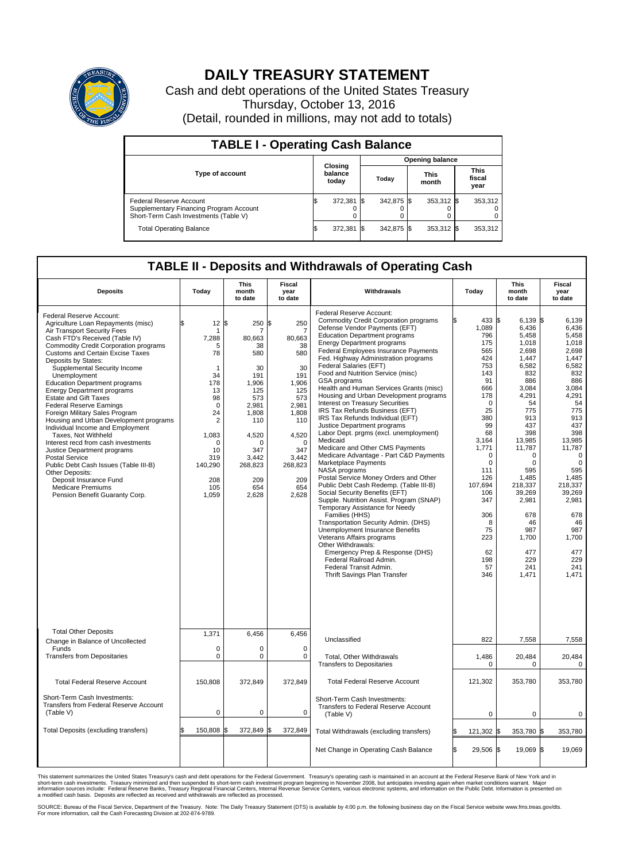

## **DAILY TREASURY STATEMENT**

Cash and debt operations of the United States Treasury Thursday, October 13, 2016 (Detail, rounded in millions, may not add to totals)

| <b>TABLE I - Operating Cash Balance</b>                                                                     |  |                             |  |                        |  |                      |  |                               |  |  |
|-------------------------------------------------------------------------------------------------------------|--|-----------------------------|--|------------------------|--|----------------------|--|-------------------------------|--|--|
|                                                                                                             |  | Closing<br>balance<br>today |  | <b>Opening balance</b> |  |                      |  |                               |  |  |
| <b>Type of account</b>                                                                                      |  |                             |  | Today                  |  | <b>This</b><br>month |  | <b>This</b><br>fiscal<br>year |  |  |
| Federal Reserve Account<br>Supplementary Financing Program Account<br>Short-Term Cash Investments (Table V) |  | 372,381 \$                  |  | 342.875 \$             |  | 353,312 \$           |  | 353,312                       |  |  |
| <b>Total Operating Balance</b>                                                                              |  | 372,381 \$                  |  | 342.875 \$             |  | 353,312 \$           |  | 353,312                       |  |  |

## **TABLE II - Deposits and Withdrawals of Operating Cash**

| <b>Deposits</b>                                                                                                                                                                                                                                                                                                                                                                                                                                                                                                                                                                                                                                                                                                                                                                                                                      | Today                                                                                                                                                                           | This<br>month<br>to date                                                                                                                                                   | Fiscal<br>year<br>to date                                                                                                                                            | Withdrawals                                                                                                                                                                                                                                                                                                                                                                                                                                                                                                                                                                                                                                                                                                                                                                                                                                                                                                                                                                                                                                                                                                                                                                                                                                      | Today                                                                                                                                                                                                                                                        | <b>This</b><br>month<br>to date                                                                                                                                                                                                                                           | Fiscal<br>year<br>to date                                                                                                                                                                                                                                                                |
|--------------------------------------------------------------------------------------------------------------------------------------------------------------------------------------------------------------------------------------------------------------------------------------------------------------------------------------------------------------------------------------------------------------------------------------------------------------------------------------------------------------------------------------------------------------------------------------------------------------------------------------------------------------------------------------------------------------------------------------------------------------------------------------------------------------------------------------|---------------------------------------------------------------------------------------------------------------------------------------------------------------------------------|----------------------------------------------------------------------------------------------------------------------------------------------------------------------------|----------------------------------------------------------------------------------------------------------------------------------------------------------------------|--------------------------------------------------------------------------------------------------------------------------------------------------------------------------------------------------------------------------------------------------------------------------------------------------------------------------------------------------------------------------------------------------------------------------------------------------------------------------------------------------------------------------------------------------------------------------------------------------------------------------------------------------------------------------------------------------------------------------------------------------------------------------------------------------------------------------------------------------------------------------------------------------------------------------------------------------------------------------------------------------------------------------------------------------------------------------------------------------------------------------------------------------------------------------------------------------------------------------------------------------|--------------------------------------------------------------------------------------------------------------------------------------------------------------------------------------------------------------------------------------------------------------|---------------------------------------------------------------------------------------------------------------------------------------------------------------------------------------------------------------------------------------------------------------------------|------------------------------------------------------------------------------------------------------------------------------------------------------------------------------------------------------------------------------------------------------------------------------------------|
| Federal Reserve Account:<br>Agriculture Loan Repayments (misc)<br>Air Transport Security Fees<br>Cash FTD's Received (Table IV)<br><b>Commodity Credit Corporation programs</b><br><b>Customs and Certain Excise Taxes</b><br>Deposits by States:<br>Supplemental Security Income<br>Unemployment<br><b>Education Department programs</b><br><b>Energy Department programs</b><br>Estate and Gift Taxes<br><b>Federal Reserve Earnings</b><br>Foreign Military Sales Program<br>Housing and Urban Development programs<br>Individual Income and Employment<br>Taxes, Not Withheld<br>Interest recd from cash investments<br>Justice Department programs<br><b>Postal Service</b><br>Public Debt Cash Issues (Table III-B)<br>Other Deposits:<br>Deposit Insurance Fund<br><b>Medicare Premiums</b><br>Pension Benefit Guaranty Corp. | 12<br>1<br>7,288<br>5<br>78<br>$\mathbf{1}$<br>34<br>178<br>13<br>98<br>$\mathbf 0$<br>24<br>$\overline{2}$<br>1,083<br>$\Omega$<br>10<br>319<br>140,290<br>208<br>105<br>1,059 | l\$<br>250<br>7<br>80,663<br>38<br>580<br>30<br>191<br>1,906<br>125<br>573<br>2,981<br>1,808<br>110<br>4,520<br>$\Omega$<br>347<br>3,442<br>268,823<br>209<br>654<br>2,628 | \$<br>250<br>80,663<br>38<br>580<br>30<br>191<br>1,906<br>125<br>573<br>2,981<br>1,808<br>110<br>4,520<br>$\Omega$<br>347<br>3,442<br>268,823<br>209<br>654<br>2,628 | Federal Reserve Account:<br><b>Commodity Credit Corporation programs</b><br>Defense Vendor Payments (EFT)<br><b>Education Department programs</b><br><b>Energy Department programs</b><br>Federal Employees Insurance Payments<br>Fed. Highway Administration programs<br>Federal Salaries (EFT)<br>Food and Nutrition Service (misc)<br>GSA programs<br>Health and Human Services Grants (misc)<br>Housing and Urban Development programs<br>Interest on Treasury Securities<br>IRS Tax Refunds Business (EFT)<br>IRS Tax Refunds Individual (EFT)<br>Justice Department programs<br>Labor Dept. prgms (excl. unemployment)<br>Medicaid<br>Medicare and Other CMS Payments<br>Medicare Advantage - Part C&D Payments<br>Marketplace Payments<br>NASA programs<br>Postal Service Money Orders and Other<br>Public Debt Cash Redemp. (Table III-B)<br>Social Security Benefits (EFT)<br>Supple. Nutrition Assist. Program (SNAP)<br>Temporary Assistance for Needy<br>Families (HHS)<br>Transportation Security Admin. (DHS)<br><b>Unemployment Insurance Benefits</b><br>Veterans Affairs programs<br>Other Withdrawals:<br>Emergency Prep & Response (DHS)<br>Federal Railroad Admin.<br>Federal Transit Admin.<br>Thrift Savings Plan Transfer | 433 \$<br>1,089<br>796<br>175<br>565<br>424<br>753<br>143<br>91<br>666<br>178<br>$\mathbf 0$<br>25<br>380<br>99<br>68<br>3,164<br>1,771<br>$\Omega$<br>$\mathbf 0$<br>111<br>126<br>107,694<br>106<br>347<br>306<br>8<br>75<br>223<br>62<br>198<br>57<br>346 | $6.139$ \$<br>6,436<br>5,458<br>1,018<br>2.698<br>1,447<br>6,582<br>832<br>886<br>3,084<br>4,291<br>54<br>775<br>913<br>437<br>398<br>13,985<br>11,787<br>0<br>0<br>595<br>1,485<br>218,337<br>39,269<br>2,981<br>678<br>46<br>987<br>1,700<br>477<br>229<br>241<br>1,471 | 6.139<br>6,436<br>5,458<br>1,018<br>2,698<br>1,447<br>6,582<br>832<br>886<br>3,084<br>4,291<br>54<br>775<br>913<br>437<br>398<br>13,985<br>11,787<br>$\mathbf 0$<br>$\mathbf 0$<br>595<br>1,485<br>218,337<br>39,269<br>2,981<br>678<br>46<br>987<br>1,700<br>477<br>229<br>241<br>1,471 |
| <b>Total Other Deposits</b><br>Change in Balance of Uncollected                                                                                                                                                                                                                                                                                                                                                                                                                                                                                                                                                                                                                                                                                                                                                                      | 1,371                                                                                                                                                                           | 6,456                                                                                                                                                                      | 6,456                                                                                                                                                                | Unclassified                                                                                                                                                                                                                                                                                                                                                                                                                                                                                                                                                                                                                                                                                                                                                                                                                                                                                                                                                                                                                                                                                                                                                                                                                                     | 822                                                                                                                                                                                                                                                          | 7,558                                                                                                                                                                                                                                                                     | 7,558                                                                                                                                                                                                                                                                                    |
| Funds<br><b>Transfers from Depositaries</b>                                                                                                                                                                                                                                                                                                                                                                                                                                                                                                                                                                                                                                                                                                                                                                                          | $\mathbf 0$<br>$\mathbf 0$                                                                                                                                                      | 0<br>$\mathbf 0$                                                                                                                                                           | $\mathbf 0$<br>$\mathbf 0$                                                                                                                                           | <b>Total, Other Withdrawals</b><br><b>Transfers to Depositaries</b>                                                                                                                                                                                                                                                                                                                                                                                                                                                                                                                                                                                                                                                                                                                                                                                                                                                                                                                                                                                                                                                                                                                                                                              | 1,486<br>$\Omega$                                                                                                                                                                                                                                            | 20,484<br>0                                                                                                                                                                                                                                                               | 20,484<br>0                                                                                                                                                                                                                                                                              |
| <b>Total Federal Reserve Account</b>                                                                                                                                                                                                                                                                                                                                                                                                                                                                                                                                                                                                                                                                                                                                                                                                 | 150,808                                                                                                                                                                         | 372,849                                                                                                                                                                    | 372,849                                                                                                                                                              | <b>Total Federal Reserve Account</b>                                                                                                                                                                                                                                                                                                                                                                                                                                                                                                                                                                                                                                                                                                                                                                                                                                                                                                                                                                                                                                                                                                                                                                                                             | 121,302                                                                                                                                                                                                                                                      | 353.780                                                                                                                                                                                                                                                                   | 353.780                                                                                                                                                                                                                                                                                  |
| Short-Term Cash Investments:<br><b>Transfers from Federal Reserve Account</b><br>(Table V)                                                                                                                                                                                                                                                                                                                                                                                                                                                                                                                                                                                                                                                                                                                                           | $\pmb{0}$                                                                                                                                                                       | $\pmb{0}$                                                                                                                                                                  | 0                                                                                                                                                                    | Short-Term Cash Investments:<br>Transfers to Federal Reserve Account<br>(Table V)                                                                                                                                                                                                                                                                                                                                                                                                                                                                                                                                                                                                                                                                                                                                                                                                                                                                                                                                                                                                                                                                                                                                                                | $\mathbf 0$                                                                                                                                                                                                                                                  | $\mathbf 0$                                                                                                                                                                                                                                                               | $\mathbf 0$                                                                                                                                                                                                                                                                              |
| Total Deposits (excluding transfers)                                                                                                                                                                                                                                                                                                                                                                                                                                                                                                                                                                                                                                                                                                                                                                                                 | 150,808                                                                                                                                                                         | 372,849<br>l\$                                                                                                                                                             | 372,849<br>\$                                                                                                                                                        | Total Withdrawals (excluding transfers)                                                                                                                                                                                                                                                                                                                                                                                                                                                                                                                                                                                                                                                                                                                                                                                                                                                                                                                                                                                                                                                                                                                                                                                                          | 121,302 \$                                                                                                                                                                                                                                                   | 353,780 \$                                                                                                                                                                                                                                                                | 353,780                                                                                                                                                                                                                                                                                  |
|                                                                                                                                                                                                                                                                                                                                                                                                                                                                                                                                                                                                                                                                                                                                                                                                                                      |                                                                                                                                                                                 |                                                                                                                                                                            |                                                                                                                                                                      | Net Change in Operating Cash Balance                                                                                                                                                                                                                                                                                                                                                                                                                                                                                                                                                                                                                                                                                                                                                                                                                                                                                                                                                                                                                                                                                                                                                                                                             | 29,506 \$<br>ß.                                                                                                                                                                                                                                              | 19,069 \$                                                                                                                                                                                                                                                                 | 19,069                                                                                                                                                                                                                                                                                   |

This statement summarizes the United States Treasury's cash and debt operations for the Federal Government. Treasury's operating cash is maintained in an account at the Federal Reserve Bank of New York and in<br>short-term ca

SOURCE: Bureau of the Fiscal Service, Department of the Treasury. Note: The Daily Treasury Statement (DTS) is available by 4:00 p.m. the following business day on the Fiscal Service website www.fms.treas.gov/dts.<br>For more